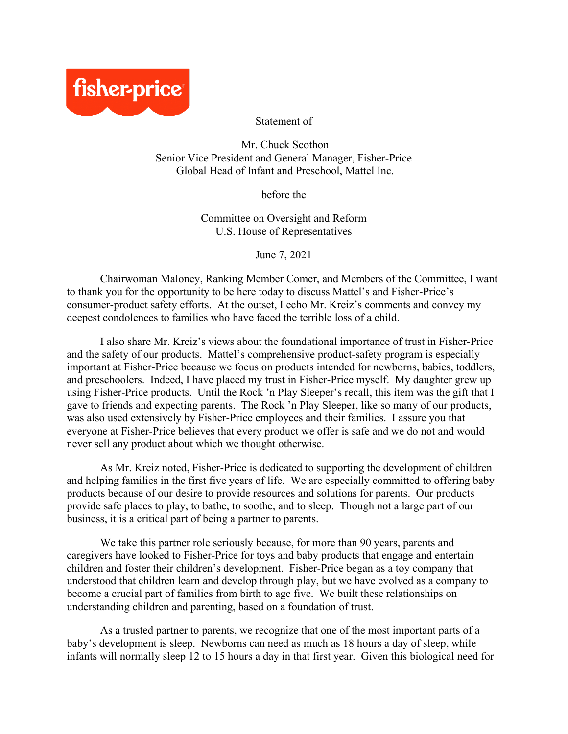

Statement of

Mr. Chuck Scothon Senior Vice President and General Manager, Fisher-Price Global Head of Infant and Preschool, Mattel Inc.

before the

Committee on Oversight and Reform U.S. House of Representatives

June 7, 2021

Chairwoman Maloney, Ranking Member Comer, and Members of the Committee, I want to thank you for the opportunity to be here today to discuss Mattel's and Fisher-Price's consumer-product safety efforts. At the outset, I echo Mr. Kreiz's comments and convey my deepest condolences to families who have faced the terrible loss of a child.

I also share Mr. Kreiz's views about the foundational importance of trust in Fisher-Price and the safety of our products. Mattel's comprehensive product-safety program is especially important at Fisher-Price because we focus on products intended for newborns, babies, toddlers, and preschoolers. Indeed, I have placed my trust in Fisher-Price myself. My daughter grew up using Fisher-Price products. Until the Rock 'n Play Sleeper's recall, this item was the gift that I gave to friends and expecting parents. The Rock 'n Play Sleeper, like so many of our products, was also used extensively by Fisher-Price employees and their families. I assure you that everyone at Fisher-Price believes that every product we offer is safe and we do not and would never sell any product about which we thought otherwise.

As Mr. Kreiz noted, Fisher-Price is dedicated to supporting the development of children and helping families in the first five years of life. We are especially committed to offering baby products because of our desire to provide resources and solutions for parents. Our products provide safe places to play, to bathe, to soothe, and to sleep. Though not a large part of our business, it is a critical part of being a partner to parents.

We take this partner role seriously because, for more than 90 years, parents and caregivers have looked to Fisher-Price for toys and baby products that engage and entertain children and foster their children's development. Fisher-Price began as a toy company that understood that children learn and develop through play, but we have evolved as a company to become a crucial part of families from birth to age five. We built these relationships on understanding children and parenting, based on a foundation of trust.

As a trusted partner to parents, we recognize that one of the most important parts of a baby's development is sleep. Newborns can need as much as 18 hours a day of sleep, while infants will normally sleep 12 to 15 hours a day in that first year. Given this biological need for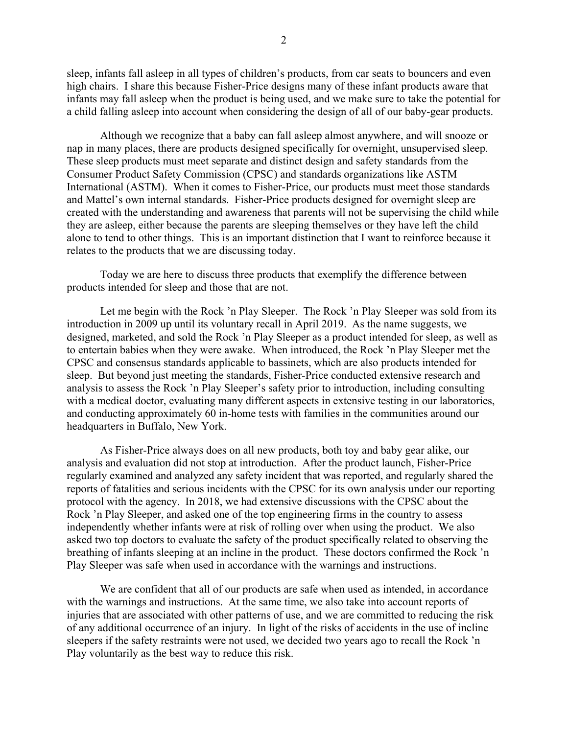sleep, infants fall asleep in all types of children's products, from car seats to bouncers and even high chairs. I share this because Fisher-Price designs many of these infant products aware that infants may fall asleep when the product is being used, and we make sure to take the potential for a child falling asleep into account when considering the design of all of our baby-gear products.

Although we recognize that a baby can fall asleep almost anywhere, and will snooze or nap in many places, there are products designed specifically for overnight, unsupervised sleep. These sleep products must meet separate and distinct design and safety standards from the Consumer Product Safety Commission (CPSC) and standards organizations like ASTM International (ASTM). When it comes to Fisher-Price, our products must meet those standards and Mattel's own internal standards. Fisher-Price products designed for overnight sleep are created with the understanding and awareness that parents will not be supervising the child while they are asleep, either because the parents are sleeping themselves or they have left the child alone to tend to other things. This is an important distinction that I want to reinforce because it relates to the products that we are discussing today.

Today we are here to discuss three products that exemplify the difference between products intended for sleep and those that are not.

Let me begin with the Rock 'n Play Sleeper. The Rock 'n Play Sleeper was sold from its introduction in 2009 up until its voluntary recall in April 2019. As the name suggests, we designed, marketed, and sold the Rock 'n Play Sleeper as a product intended for sleep, as well as to entertain babies when they were awake. When introduced, the Rock 'n Play Sleeper met the CPSC and consensus standards applicable to bassinets, which are also products intended for sleep. But beyond just meeting the standards, Fisher-Price conducted extensive research and analysis to assess the Rock 'n Play Sleeper's safety prior to introduction, including consulting with a medical doctor, evaluating many different aspects in extensive testing in our laboratories, and conducting approximately 60 in-home tests with families in the communities around our headquarters in Buffalo, New York.

As Fisher-Price always does on all new products, both toy and baby gear alike, our analysis and evaluation did not stop at introduction. After the product launch, Fisher-Price regularly examined and analyzed any safety incident that was reported, and regularly shared the reports of fatalities and serious incidents with the CPSC for its own analysis under our reporting protocol with the agency. In 2018, we had extensive discussions with the CPSC about the Rock 'n Play Sleeper, and asked one of the top engineering firms in the country to assess independently whether infants were at risk of rolling over when using the product. We also asked two top doctors to evaluate the safety of the product specifically related to observing the breathing of infants sleeping at an incline in the product. These doctors confirmed the Rock 'n Play Sleeper was safe when used in accordance with the warnings and instructions.

We are confident that all of our products are safe when used as intended, in accordance with the warnings and instructions. At the same time, we also take into account reports of injuries that are associated with other patterns of use, and we are committed to reducing the risk of any additional occurrence of an injury. In light of the risks of accidents in the use of incline sleepers if the safety restraints were not used, we decided two years ago to recall the Rock 'n Play voluntarily as the best way to reduce this risk.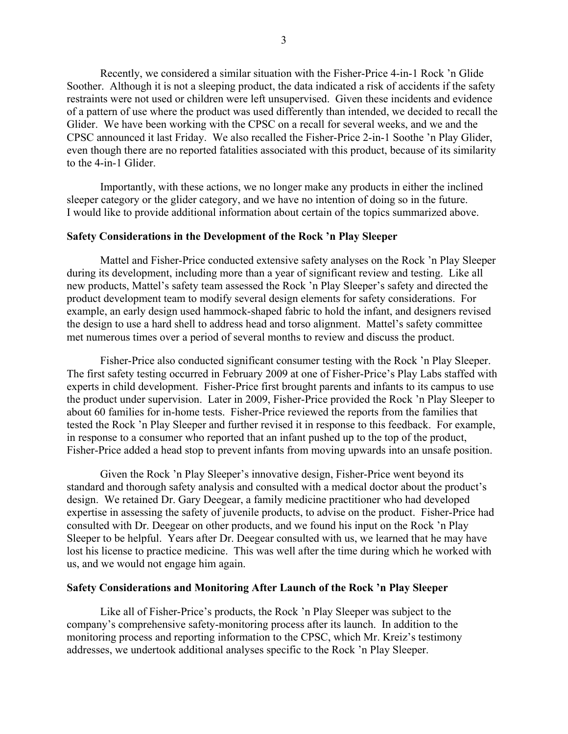Recently, we considered a similar situation with the Fisher-Price 4-in-1 Rock 'n Glide Soother. Although it is not a sleeping product, the data indicated a risk of accidents if the safety restraints were not used or children were left unsupervised. Given these incidents and evidence of a pattern of use where the product was used differently than intended, we decided to recall the Glider. We have been working with the CPSC on a recall for several weeks, and we and the CPSC announced it last Friday. We also recalled the Fisher-Price 2-in-1 Soothe 'n Play Glider, even though there are no reported fatalities associated with this product, because of its similarity to the 4-in-1 Glider.

Importantly, with these actions, we no longer make any products in either the inclined sleeper category or the glider category, and we have no intention of doing so in the future. I would like to provide additional information about certain of the topics summarized above.

# **Safety Considerations in the Development of the Rock 'n Play Sleeper**

Mattel and Fisher-Price conducted extensive safety analyses on the Rock 'n Play Sleeper during its development, including more than a year of significant review and testing. Like all new products, Mattel's safety team assessed the Rock 'n Play Sleeper's safety and directed the product development team to modify several design elements for safety considerations. For example, an early design used hammock-shaped fabric to hold the infant, and designers revised the design to use a hard shell to address head and torso alignment. Mattel's safety committee met numerous times over a period of several months to review and discuss the product.

Fisher-Price also conducted significant consumer testing with the Rock 'n Play Sleeper. The first safety testing occurred in February 2009 at one of Fisher-Price's Play Labs staffed with experts in child development. Fisher-Price first brought parents and infants to its campus to use the product under supervision. Later in 2009, Fisher-Price provided the Rock 'n Play Sleeper to about 60 families for in-home tests. Fisher-Price reviewed the reports from the families that tested the Rock 'n Play Sleeper and further revised it in response to this feedback. For example, in response to a consumer who reported that an infant pushed up to the top of the product, Fisher-Price added a head stop to prevent infants from moving upwards into an unsafe position.

Given the Rock 'n Play Sleeper's innovative design, Fisher-Price went beyond its standard and thorough safety analysis and consulted with a medical doctor about the product's design. We retained Dr. Gary Deegear, a family medicine practitioner who had developed expertise in assessing the safety of juvenile products, to advise on the product. Fisher-Price had consulted with Dr. Deegear on other products, and we found his input on the Rock 'n Play Sleeper to be helpful. Years after Dr. Deegear consulted with us, we learned that he may have lost his license to practice medicine. This was well after the time during which he worked with us, and we would not engage him again.

# **Safety Considerations and Monitoring After Launch of the Rock 'n Play Sleeper**

Like all of Fisher-Price's products, the Rock 'n Play Sleeper was subject to the company's comprehensive safety-monitoring process after its launch. In addition to the monitoring process and reporting information to the CPSC, which Mr. Kreiz's testimony addresses, we undertook additional analyses specific to the Rock 'n Play Sleeper.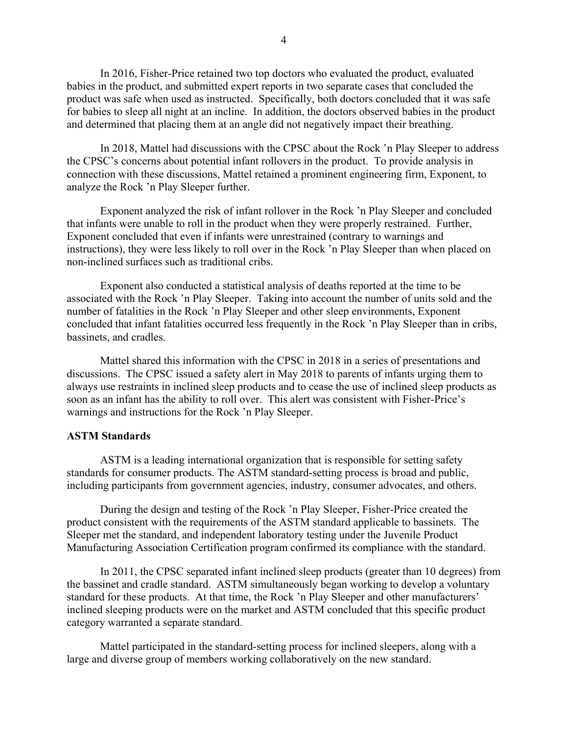In 2016, Fisher-Price retained two top doctors who evaluated the product, evaluated babies in the product, and submitted expert reports in two separate cases that concluded the product was safe when used as instructed. Specifically, both doctors concluded that it was safe for babies to sleep all night at an incline. In addition, the doctors observed babies in the product and determined that placing them at an angle did not negatively impact their breathing.

In 2018, Mattel had discussions with the CPSC about the Rock 'n Play Sleeper to address the CPSC's concerns about potential infant rollovers in the product. To provide analysis in connection with these discussions, Mattel retained a prominent engineering firm, Exponent, to analyze the Rock 'n Play Sleeper further.

Exponent analyzed the risk of infant rollover in the Rock 'n Play Sleeper and concluded that infants were unable to roll in the product when they were properly restrained. Further, Exponent concluded that even if infants were unrestrained (contrary to warnings and instructions), they were less likely to roll over in the Rock 'n Play Sleeper than when placed on non-inclined surfaces such as traditional cribs.

Exponent also conducted a statistical analysis of deaths reported at the time to be associated with the Rock 'n Play Sleeper. Taking into account the number of units sold and the number of fatalities in the Rock 'n Play Sleeper and other sleep environments, Exponent concluded that infant fatalities occurred less frequently in the Rock 'n Play Sleeper than in cribs, bassinets, and cradles.

Mattel shared this information with the CPSC in 2018 in a series of presentations and discussions. The CPSC issued a safety alert in May 2018 to parents of infants urging them to always use restraints in inclined sleep products and to cease the use of inclined sleep products as soon as an infant has the ability to roll over. This alert was consistent with Fisher-Price's warnings and instructions for the Rock 'n Play Sleeper.

# **ASTM Standards**

ASTM is a leading international organization that is responsible for setting safety standards for consumer products. The ASTM standard-setting process is broad and public, including participants from government agencies, industry, consumer advocates, and others.

During the design and testing of the Rock 'n Play Sleeper, Fisher-Price created the product consistent with the requirements of the ASTM standard applicable to bassinets. The Sleeper met the standard, and independent laboratory testing under the Juvenile Product Manufacturing Association Certification program confirmed its compliance with the standard.

In 2011, the CPSC separated infant inclined sleep products (greater than 10 degrees) from the bassinet and cradle standard. ASTM simultaneously began working to develop a voluntary standard for these products. At that time, the Rock 'n Play Sleeper and other manufacturers' inclined sleeping products were on the market and ASTM concluded that this specific product category warranted a separate standard.

Mattel participated in the standard-setting process for inclined sleepers, along with a large and diverse group of members working collaboratively on the new standard.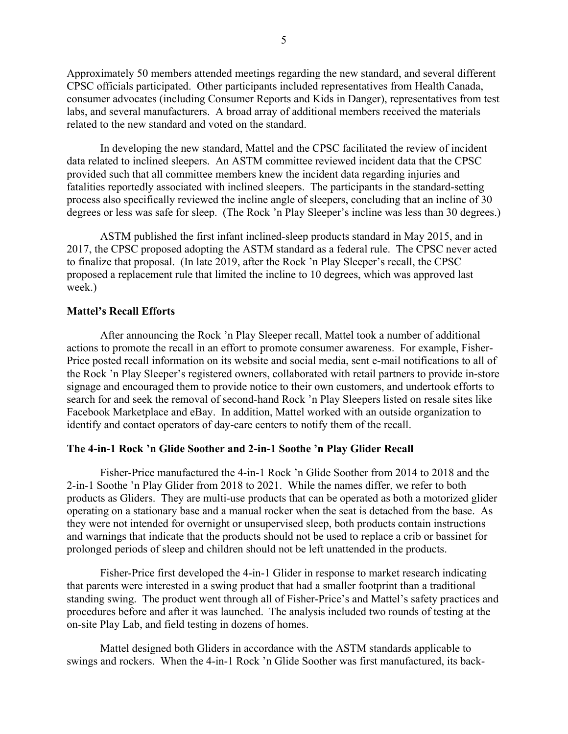Approximately 50 members attended meetings regarding the new standard, and several different CPSC officials participated. Other participants included representatives from Health Canada, consumer advocates (including Consumer Reports and Kids in Danger), representatives from test labs, and several manufacturers. A broad array of additional members received the materials related to the new standard and voted on the standard.

In developing the new standard, Mattel and the CPSC facilitated the review of incident data related to inclined sleepers. An ASTM committee reviewed incident data that the CPSC provided such that all committee members knew the incident data regarding injuries and fatalities reportedly associated with inclined sleepers. The participants in the standard-setting process also specifically reviewed the incline angle of sleepers, concluding that an incline of 30 degrees or less was safe for sleep. (The Rock 'n Play Sleeper's incline was less than 30 degrees.)

ASTM published the first infant inclined-sleep products standard in May 2015, and in 2017, the CPSC proposed adopting the ASTM standard as a federal rule. The CPSC never acted to finalize that proposal. (In late 2019, after the Rock 'n Play Sleeper's recall, the CPSC proposed a replacement rule that limited the incline to 10 degrees, which was approved last week.)

### **Mattel's Recall Efforts**

After announcing the Rock 'n Play Sleeper recall, Mattel took a number of additional actions to promote the recall in an effort to promote consumer awareness. For example, Fisher-Price posted recall information on its website and social media, sent e-mail notifications to all of the Rock 'n Play Sleeper's registered owners, collaborated with retail partners to provide in-store signage and encouraged them to provide notice to their own customers, and undertook efforts to search for and seek the removal of second-hand Rock 'n Play Sleepers listed on resale sites like Facebook Marketplace and eBay. In addition, Mattel worked with an outside organization to identify and contact operators of day-care centers to notify them of the recall.

#### **The 4-in-1 Rock 'n Glide Soother and 2-in-1 Soothe 'n Play Glider Recall**

Fisher-Price manufactured the 4-in-1 Rock 'n Glide Soother from 2014 to 2018 and the 2-in-1 Soothe 'n Play Glider from 2018 to 2021. While the names differ, we refer to both products as Gliders. They are multi-use products that can be operated as both a motorized glider operating on a stationary base and a manual rocker when the seat is detached from the base. As they were not intended for overnight or unsupervised sleep, both products contain instructions and warnings that indicate that the products should not be used to replace a crib or bassinet for prolonged periods of sleep and children should not be left unattended in the products.

Fisher-Price first developed the 4-in-1 Glider in response to market research indicating that parents were interested in a swing product that had a smaller footprint than a traditional standing swing. The product went through all of Fisher-Price's and Mattel's safety practices and procedures before and after it was launched. The analysis included two rounds of testing at the on-site Play Lab, and field testing in dozens of homes.

Mattel designed both Gliders in accordance with the ASTM standards applicable to swings and rockers. When the 4-in-1 Rock 'n Glide Soother was first manufactured, its back